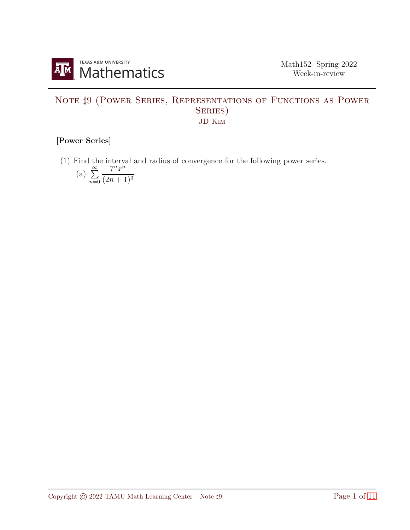

## NOTE  $\sharp 9$  (POWER SERIES, REPRESENTATIONS OF FUNCTIONS AS POWER SERIES) JD Kim

## [Power Series]

(1) Find the interval and radius of convergence for the following power series.

(a) 
$$
\sum_{n=0}^{\infty} \frac{7^n x^n}{(2n+1)^3}
$$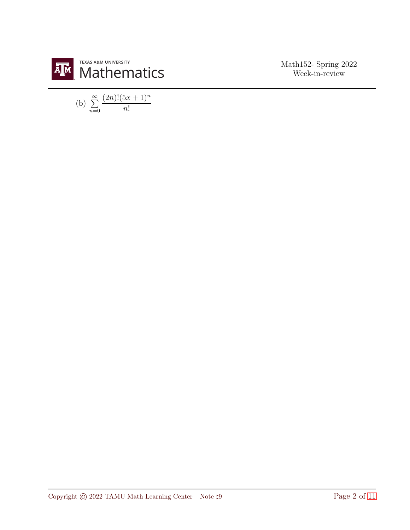

(b) 
$$
\sum_{n=0}^{\infty} \frac{(2n)!(5x+1)^n}{n!}
$$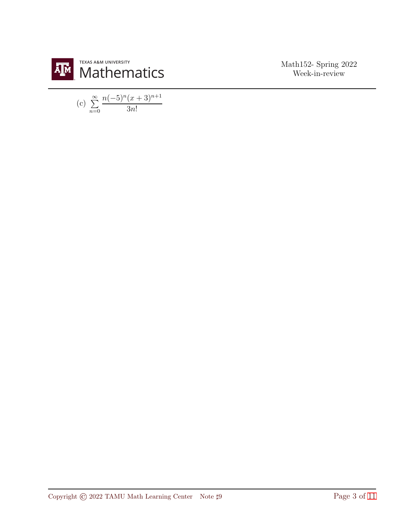

(c) 
$$
\sum_{n=0}^{\infty} \frac{n(-5)^n (x+3)^{n+1}}{3n!}
$$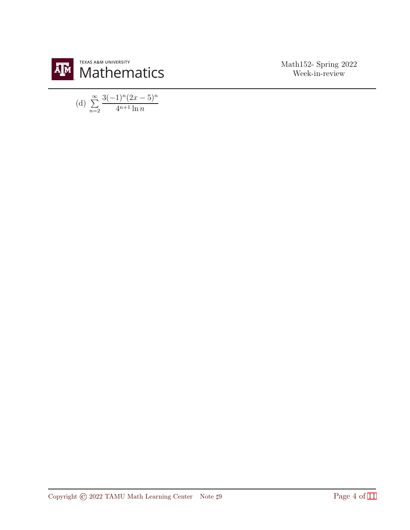

(d) 
$$
\sum_{n=2}^{\infty} \frac{3(-1)^n (2x-5)^n}{4^{n+1} \ln n}
$$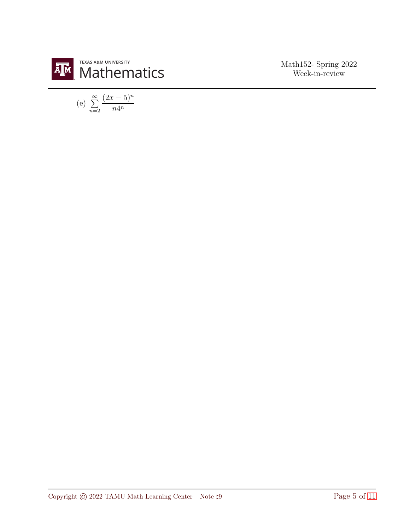

(e) 
$$
\sum_{n=2}^{\infty} \frac{(2x-5)^n}{n4^n}
$$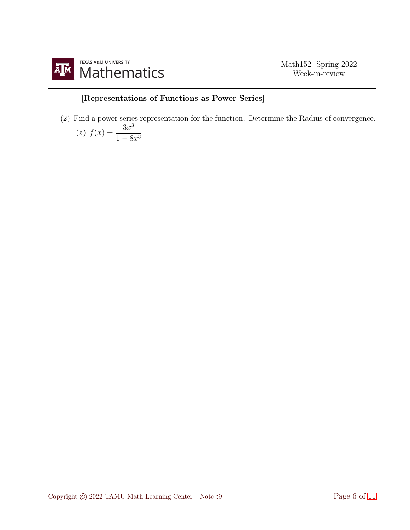

## [Representations of Functions as Power Series]

(2) Find a power series representation for the function. Determine the Radius of convergence. (a)  $f(r)$  $3x^3$ 

$$
a) f(x) = \frac{1 - 8x^3}{1 - 8x^3}
$$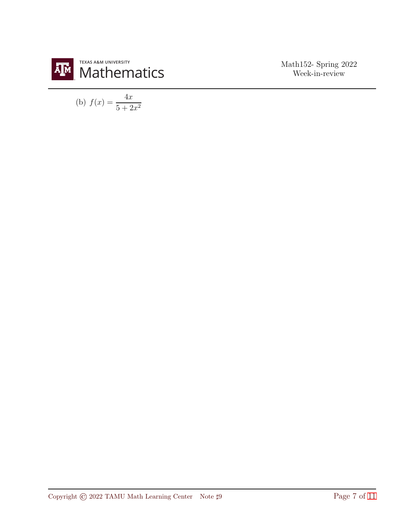

(b) 
$$
f(x) = \frac{4x}{5 + 2x^2}
$$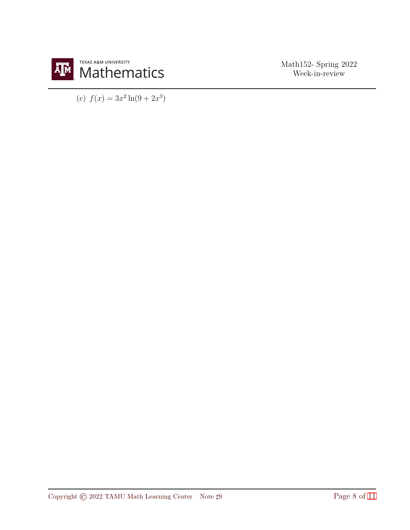

(c)  $f(x) = 3x^2 \ln(9 + 2x^3)$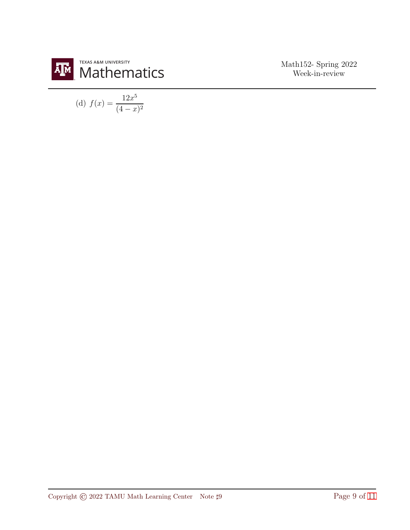

(d) 
$$
f(x) = \frac{12x^5}{(4-x)^2}
$$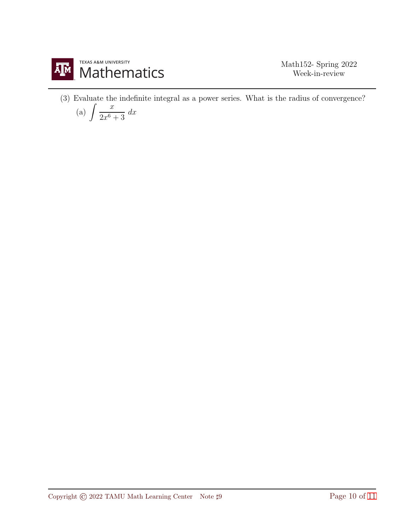

(3) Evaluate the indefinite integral as a power series. What is the radius of convergence?

$$
(a) \int \frac{x}{2x^6 + 3} dx
$$